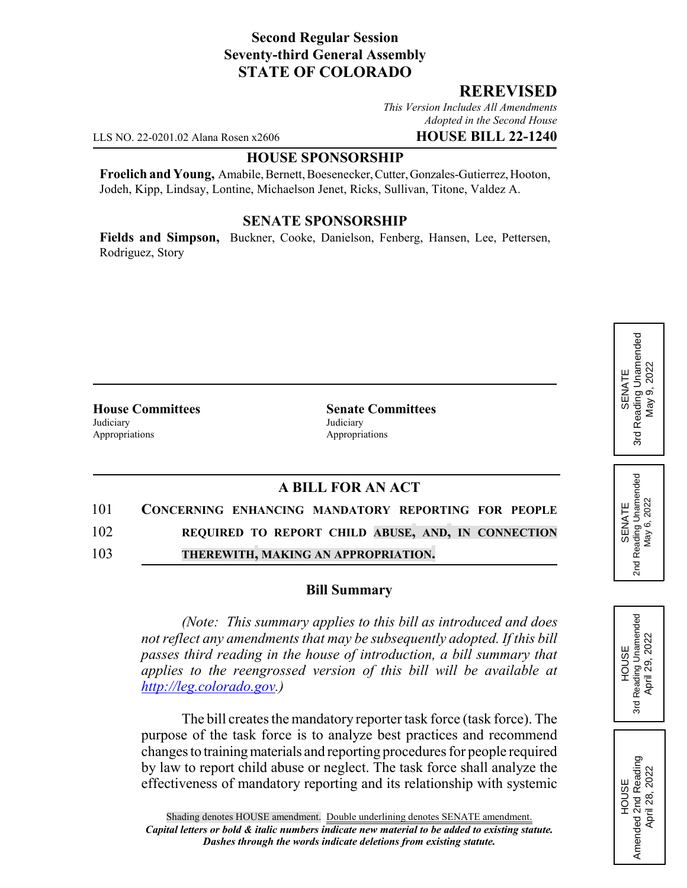## **Second Regular Session Seventy-third General Assembly STATE OF COLORADO**

### **REREVISED**

*This Version Includes All Amendments Adopted in the Second House*

LLS NO. 22-0201.02 Alana Rosen x2606 **HOUSE BILL 22-1240**

#### **HOUSE SPONSORSHIP**

**Froelich and Young,** Amabile, Bernett, Boesenecker, Cutter, Gonzales-Gutierrez, Hooton, Jodeh, Kipp, Lindsay, Lontine, Michaelson Jenet, Ricks, Sullivan, Titone, Valdez A.

#### **SENATE SPONSORSHIP**

**Fields and Simpson,** Buckner, Cooke, Danielson, Fenberg, Hansen, Lee, Pettersen, Rodriguez, Story

Judiciary Judiciary Appropriations **Appropriations** 

**House Committees Senate Committees**

# **A BILL FOR AN ACT**

101 **CONCERNING ENHANCING MANDATORY REPORTING FOR PEOPLE**

102 **REQUIRED TO REPORT CHILD ABUSE, AND, IN CONNECTION**

103 **THEREWITH, MAKING AN APPROPRIATION.**

#### **Bill Summary**

*(Note: This summary applies to this bill as introduced and does not reflect any amendments that may be subsequently adopted. If this bill passes third reading in the house of introduction, a bill summary that applies to the reengrossed version of this bill will be available at http://leg.colorado.gov.)*

The bill creates the mandatory reporter task force (task force). The purpose of the task force is to analyze best practices and recommend changes to training materials and reporting procedures for people required by law to report child abuse or neglect. The task force shall analyze the effectiveness of mandatory reporting and its relationship with systemic

Reading Unamended 3rd Reading Unamended April 29, 2022 April 29, 2022 **HOUSE** 3rd

HOUSE<br>Amended 2nd Reading Amended 2nd Reading April 28, 2022

April 28, 2022

SENATE 2nd Reading Unamended May 6, 2022

Reading Unamended<br>May 6, 2022

2<sub>nd</sub>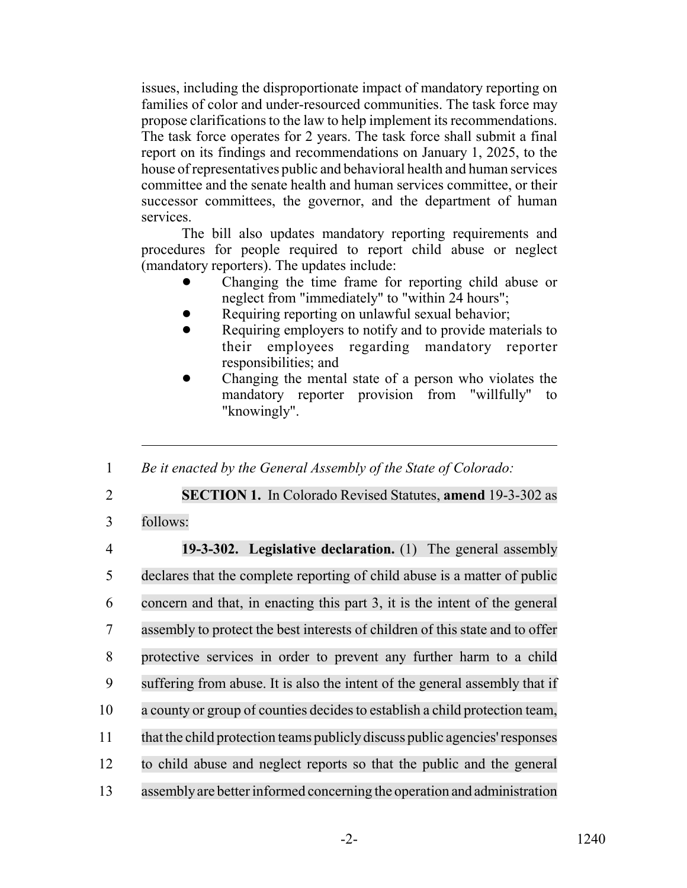issues, including the disproportionate impact of mandatory reporting on families of color and under-resourced communities. The task force may propose clarifications to the law to help implement its recommendations. The task force operates for 2 years. The task force shall submit a final report on its findings and recommendations on January 1, 2025, to the house of representatives public and behavioral health and human services committee and the senate health and human services committee, or their successor committees, the governor, and the department of human services.

The bill also updates mandatory reporting requirements and procedures for people required to report child abuse or neglect (mandatory reporters). The updates include:

- ! Changing the time frame for reporting child abuse or neglect from "immediately" to "within 24 hours";
- Requiring reporting on unlawful sexual behavior;
- Requiring employers to notify and to provide materials to their employees regarding mandatory reporter responsibilities; and
- Changing the mental state of a person who violates the mandatory reporter provision from "willfully" to "knowingly".

1 *Be it enacted by the General Assembly of the State of Colorado:*

2 **SECTION 1.** In Colorado Revised Statutes, **amend** 19-3-302 as

3 follows:

 **19-3-302. Legislative declaration.** (1) The general assembly declares that the complete reporting of child abuse is a matter of public concern and that, in enacting this part 3, it is the intent of the general assembly to protect the best interests of children of this state and to offer protective services in order to prevent any further harm to a child suffering from abuse. It is also the intent of the general assembly that if 10 a county or group of counties decides to establish a child protection team, that the child protection teams publiclydiscuss public agencies'responses to child abuse and neglect reports so that the public and the general assemblyare betterinformed concerning the operation and administration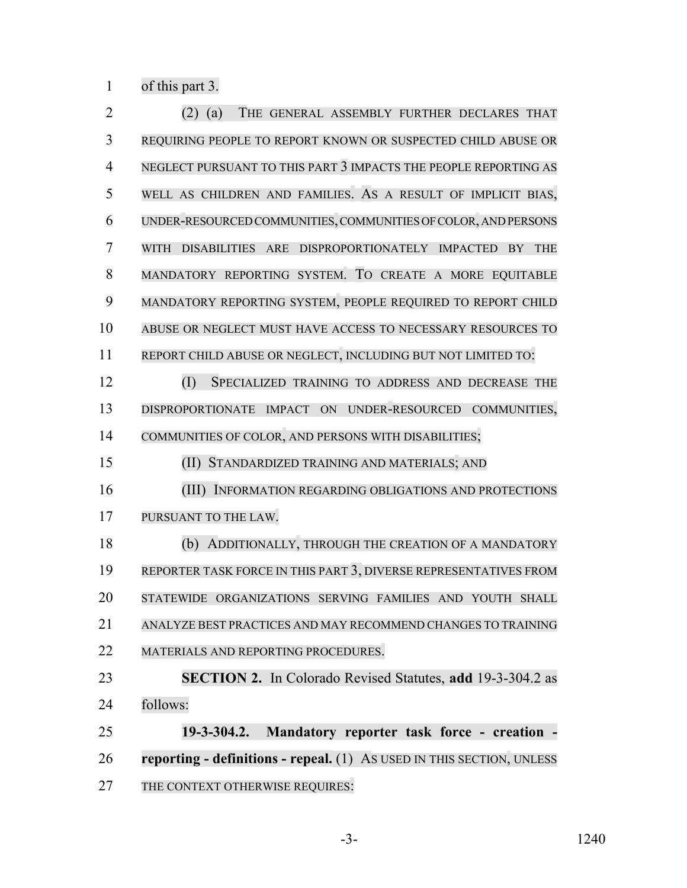of this part 3.

| $\overline{2}$ | THE GENERAL ASSEMBLY FURTHER DECLARES THAT<br>(a)                               |
|----------------|---------------------------------------------------------------------------------|
| 3              | REQUIRING PEOPLE TO REPORT KNOWN OR SUSPECTED CHILD ABUSE OR                    |
| $\overline{4}$ | NEGLECT PURSUANT TO THIS PART 3 IMPACTS THE PEOPLE REPORTING AS                 |
| 5              | WELL AS CHILDREN AND FAMILIES. AS A RESULT OF IMPLICIT BIAS,                    |
| 6              | UNDER-RESOURCED COMMUNITIES, COMMUNITIES OF COLOR, AND PERSONS                  |
| 7              | <b>WITH</b><br>DISABILITIES ARE DISPROPORTIONATELY IMPACTED<br><b>THE</b><br>BY |
| 8              | MANDATORY REPORTING SYSTEM. TO CREATE A MORE EQUITABLE                          |
| 9              | MANDATORY REPORTING SYSTEM, PEOPLE REQUIRED TO REPORT CHILD                     |
| 10             | ABUSE OR NEGLECT MUST HAVE ACCESS TO NECESSARY RESOURCES TO                     |
| 11             | REPORT CHILD ABUSE OR NEGLECT, INCLUDING BUT NOT LIMITED TO:                    |
| 12             | (I)<br>SPECIALIZED TRAINING TO ADDRESS AND DECREASE THE                         |
| 13             | DISPROPORTIONATE IMPACT ON UNDER-RESOURCED COMMUNITIES,                         |
| 14             | COMMUNITIES OF COLOR, AND PERSONS WITH DISABILITIES;                            |
| 15             | (II)<br>STANDARDIZED TRAINING AND MATERIALS; AND                                |
| 16             | (III)<br>INFORMATION REGARDING OBLIGATIONS AND PROTECTIONS                      |
| 17             | PURSUANT TO THE LAW.                                                            |
| 18             | ADDITIONALLY, THROUGH THE CREATION OF A MANDATORY<br>(b)                        |
| 19             | REPORTER TASK FORCE IN THIS PART 3, DIVERSE REPRESENTATIVES FROM                |
| 20             | STATEWIDE ORGANIZATIONS SERVING FAMILIES AND YOUTH<br><b>SHALL</b>              |
| 21             | ANALYZE BEST PRACTICES AND MAY RECOMMEND CHANGES TO TRAINING                    |
| 22             | MATERIALS AND REPORTING PROCEDURES.                                             |
| 23             | <b>SECTION 2.</b> In Colorado Revised Statutes, add 19-3-304.2 as               |
| 24             | follows:                                                                        |
| 25             | $19 - 3 - 304.2$ .<br>Mandatory reporter task force - creation -                |
| 26             | reporting - definitions - repeal. (1) As USED IN THIS SECTION, UNLESS           |
| 27             | THE CONTEXT OTHERWISE REQUIRES:                                                 |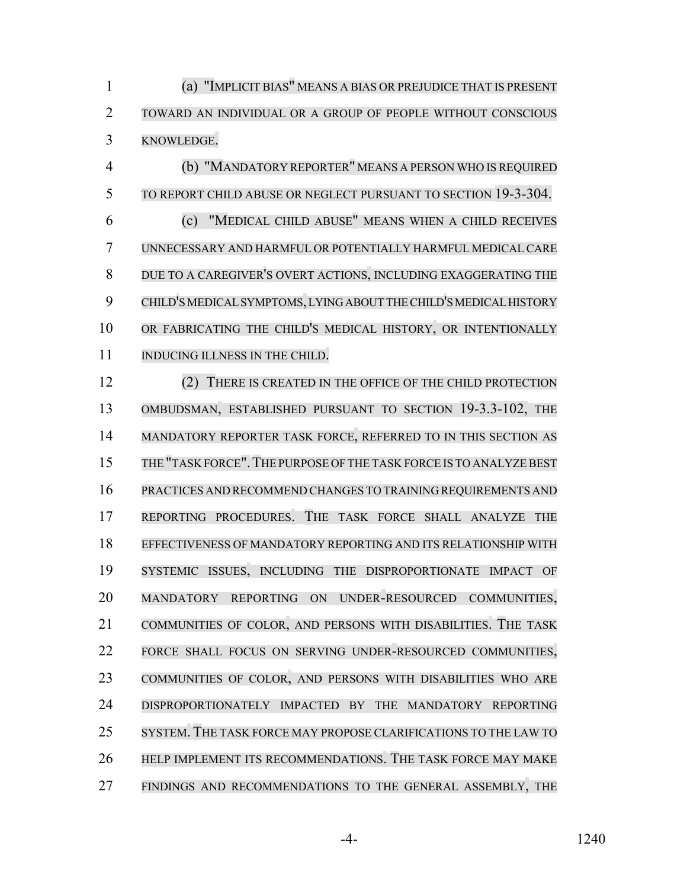(a) "IMPLICIT BIAS" MEANS A BIAS OR PREJUDICE THAT IS PRESENT TOWARD AN INDIVIDUAL OR A GROUP OF PEOPLE WITHOUT CONSCIOUS KNOWLEDGE.

 (b) "MANDATORY REPORTER" MEANS A PERSON WHO IS REQUIRED TO REPORT CHILD ABUSE OR NEGLECT PURSUANT TO SECTION 19-3-304. (c) "MEDICAL CHILD ABUSE" MEANS WHEN A CHILD RECEIVES UNNECESSARY AND HARMFUL OR POTENTIALLY HARMFUL MEDICAL CARE DUE TO A CAREGIVER'S OVERT ACTIONS, INCLUDING EXAGGERATING THE CHILD'S MEDICAL SYMPTOMS, LYING ABOUT THE CHILD'S MEDICAL HISTORY 10 OR FABRICATING THE CHILD'S MEDICAL HISTORY, OR INTENTIONALLY 11 INDUCING ILLNESS IN THE CHILD.

12 (2) THERE IS CREATED IN THE OFFICE OF THE CHILD PROTECTION OMBUDSMAN, ESTABLISHED PURSUANT TO SECTION 19-3.3-102, THE MANDATORY REPORTER TASK FORCE, REFERRED TO IN THIS SECTION AS THE "TASK FORCE".THE PURPOSE OFTHE TASK FORCE IS TO ANALYZE BEST PRACTICES AND RECOMMEND CHANGES TO TRAINING REQUIREMENTS AND REPORTING PROCEDURES. THE TASK FORCE SHALL ANALYZE THE EFFECTIVENESS OF MANDATORY REPORTING AND ITS RELATIONSHIP WITH SYSTEMIC ISSUES, INCLUDING THE DISPROPORTIONATE IMPACT OF MANDATORY REPORTING ON UNDER-RESOURCED COMMUNITIES, COMMUNITIES OF COLOR, AND PERSONS WITH DISABILITIES. THE TASK FORCE SHALL FOCUS ON SERVING UNDER-RESOURCED COMMUNITIES, COMMUNITIES OF COLOR, AND PERSONS WITH DISABILITIES WHO ARE DISPROPORTIONATELY IMPACTED BY THE MANDATORY REPORTING SYSTEM. THE TASK FORCE MAY PROPOSE CLARIFICATIONS TO THE LAW TO HELP IMPLEMENT ITS RECOMMENDATIONS. THE TASK FORCE MAY MAKE FINDINGS AND RECOMMENDATIONS TO THE GENERAL ASSEMBLY, THE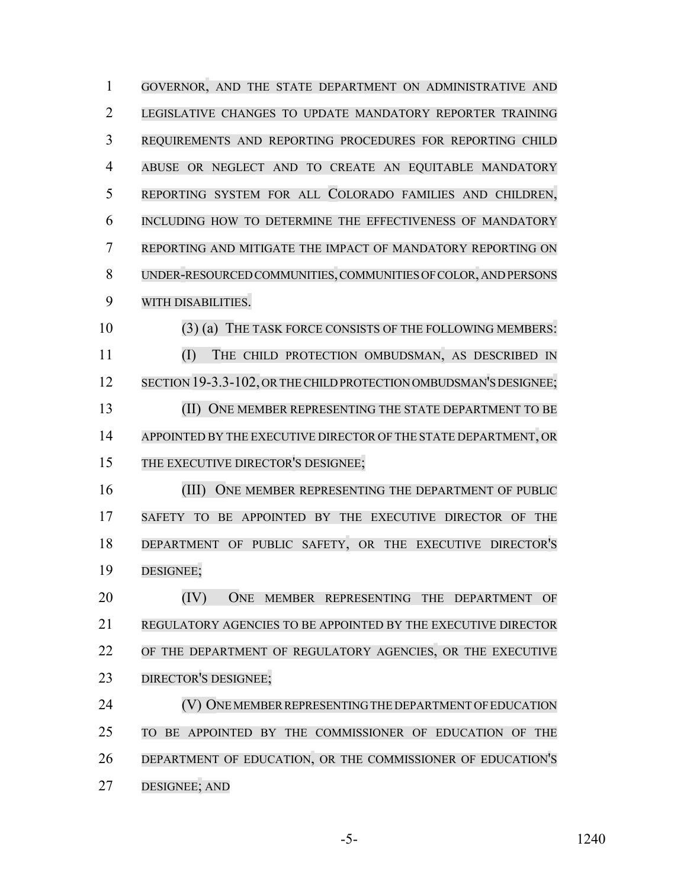| $\mathbf{1}$   | GOVERNOR, AND THE STATE DEPARTMENT ON ADMINISTRATIVE AND                              |
|----------------|---------------------------------------------------------------------------------------|
| $\overline{2}$ | LEGISLATIVE CHANGES TO UPDATE MANDATORY REPORTER TRAINING                             |
| 3              | REQUIREMENTS AND REPORTING PROCEDURES FOR REPORTING CHILD                             |
| $\overline{4}$ | ABUSE OR NEGLECT AND TO CREATE AN EQUITABLE MANDATORY                                 |
| 5              | REPORTING SYSTEM FOR ALL COLORADO FAMILIES AND CHILDREN,                              |
| 6              | INCLUDING HOW TO DETERMINE THE EFFECTIVENESS OF MANDATORY                             |
| 7              | REPORTING AND MITIGATE THE IMPACT OF MANDATORY REPORTING ON                           |
| 8              | UNDER-RESOURCED COMMUNITIES, COMMUNITIES OF COLOR, AND PERSONS                        |
| 9              | WITH DISABILITIES.                                                                    |
| 10             | (3) (a) THE TASK FORCE CONSISTS OF THE FOLLOWING MEMBERS:                             |
| 11             | (I)<br>THE CHILD PROTECTION OMBUDSMAN, AS DESCRIBED IN                                |
| 12             | SECTION 19-3.3-102, OR THE CHILD PROTECTION OMBUDSMAN'S DESIGNEE;                     |
| 13             | (II) ONE MEMBER REPRESENTING THE STATE DEPARTMENT TO BE                               |
| 14             | APPOINTED BY THE EXECUTIVE DIRECTOR OF THE STATE DEPARTMENT, OR                       |
| 15             | THE EXECUTIVE DIRECTOR'S DESIGNEE;                                                    |
| 16             | (III)<br>ONE MEMBER REPRESENTING THE DEPARTMENT OF PUBLIC                             |
| 17             | BE APPOINTED BY THE EXECUTIVE DIRECTOR OF<br><b>SAFETY</b><br><b>TO</b><br><b>THE</b> |
| 18             | DEPARTMENT OF PUBLIC SAFETY, OR THE EXECUTIVE DIRECTOR'S                              |
| 19             | DESIGNEE;                                                                             |
| 20             | (IV)<br>ONE MEMBER REPRESENTING THE DEPARTMENT OF                                     |
| 21             | REGULATORY AGENCIES TO BE APPOINTED BY THE EXECUTIVE DIRECTOR                         |
| 22             | OF THE DEPARTMENT OF REGULATORY AGENCIES, OR THE EXECUTIVE                            |
| 23             | DIRECTOR'S DESIGNEE;                                                                  |
| 24             | (V) ONE MEMBER REPRESENTING THE DEPARTMENT OF EDUCATION                               |
| 25             | BE APPOINTED BY THE COMMISSIONER OF EDUCATION OF THE<br><b>TO</b>                     |
| 26             | DEPARTMENT OF EDUCATION, OR THE COMMISSIONER OF EDUCATION'S                           |
| 27             | DESIGNEE; AND                                                                         |

-5- 1240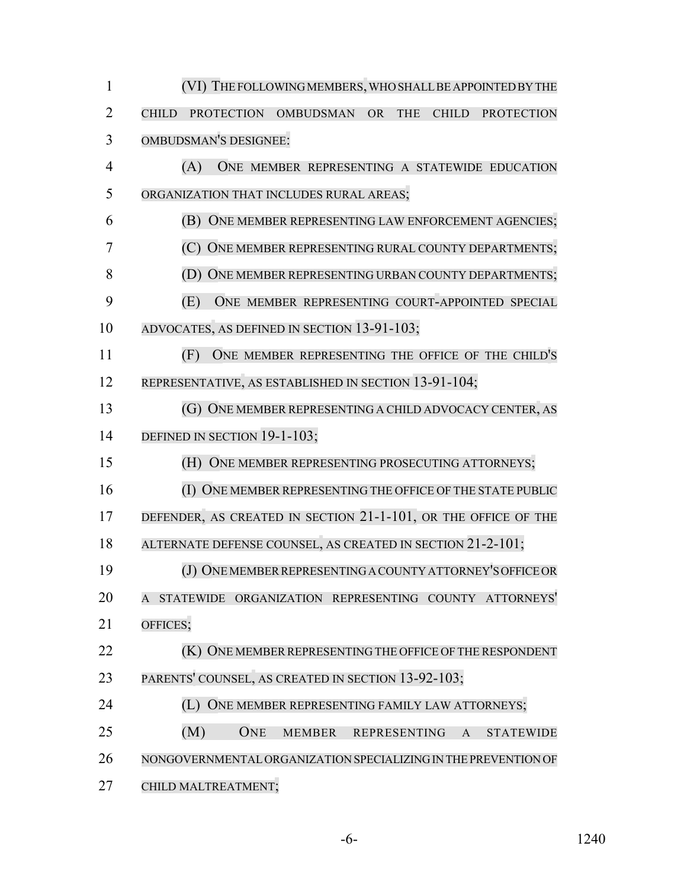| 1              | (VI) THE FOLLOWING MEMBERS, WHO SHALL BE APPOINTED BY THE                                                             |
|----------------|-----------------------------------------------------------------------------------------------------------------------|
| $\overline{2}$ | <b>PROTECTION</b><br><b>OMBUDSMAN</b><br><b>OR</b><br><b>THE</b><br><b>CHILD</b><br><b>PROTECTION</b><br><b>CHILD</b> |
| 3              | <b>OMBUDSMAN'S DESIGNEE:</b>                                                                                          |
| $\overline{4}$ | (A)<br>ONE MEMBER REPRESENTING A STATEWIDE EDUCATION                                                                  |
| 5              | ORGANIZATION THAT INCLUDES RURAL AREAS;                                                                               |
| 6              | ONE MEMBER REPRESENTING LAW ENFORCEMENT AGENCIES;<br>(B)                                                              |
| 7              | ONE MEMBER REPRESENTING RURAL COUNTY DEPARTMENTS;<br>(C)                                                              |
| 8              | ONE MEMBER REPRESENTING URBAN COUNTY DEPARTMENTS;                                                                     |
| 9              | ONE MEMBER REPRESENTING COURT-APPOINTED SPECIAL<br>(E)                                                                |
| 10             | ADVOCATES, AS DEFINED IN SECTION 13-91-103;                                                                           |
| 11             | ONE MEMBER REPRESENTING THE OFFICE OF THE CHILD'S<br>(F)                                                              |
| 12             | REPRESENTATIVE, AS ESTABLISHED IN SECTION 13-91-104;                                                                  |
| 13             | ONE MEMBER REPRESENTING A CHILD ADVOCACY CENTER, AS<br>(G)                                                            |
| 14             | DEFINED IN SECTION 19-1-103;                                                                                          |
| 15             | ONE MEMBER REPRESENTING PROSECUTING ATTORNEYS;<br>(H)                                                                 |
| 16             | ONE MEMBER REPRESENTING THE OFFICE OF THE STATE PUBLIC                                                                |
| 17             | DEFENDER, AS CREATED IN SECTION 21-1-101, OR THE OFFICE OF THE                                                        |
| 18             | ALTERNATE DEFENSE COUNSEL, AS CREATED IN SECTION 21-2-101;                                                            |
| 19             | (J) ONE MEMBER REPRESENTING A COUNTY ATTORNEY'S OFFICE OR                                                             |
| 20             | A STATEWIDE ORGANIZATION REPRESENTING COUNTY ATTORNEYS'                                                               |
| 21             | OFFICES;                                                                                                              |
| 22             | (K) ONE MEMBER REPRESENTING THE OFFICE OF THE RESPONDENT                                                              |
| 23             | PARENTS' COUNSEL, AS CREATED IN SECTION 13-92-103;                                                                    |
| 24             | (L) ONE MEMBER REPRESENTING FAMILY LAW ATTORNEYS;                                                                     |
| 25             | (M)<br><b>ONE</b><br>MEMBER REPRESENTING<br><b>STATEWIDE</b><br>$\mathbf{A}$                                          |
| 26             | NONGOVERNMENTAL ORGANIZATION SPECIALIZING IN THE PREVENTION OF                                                        |
| 27             | CHILD MALTREATMENT;                                                                                                   |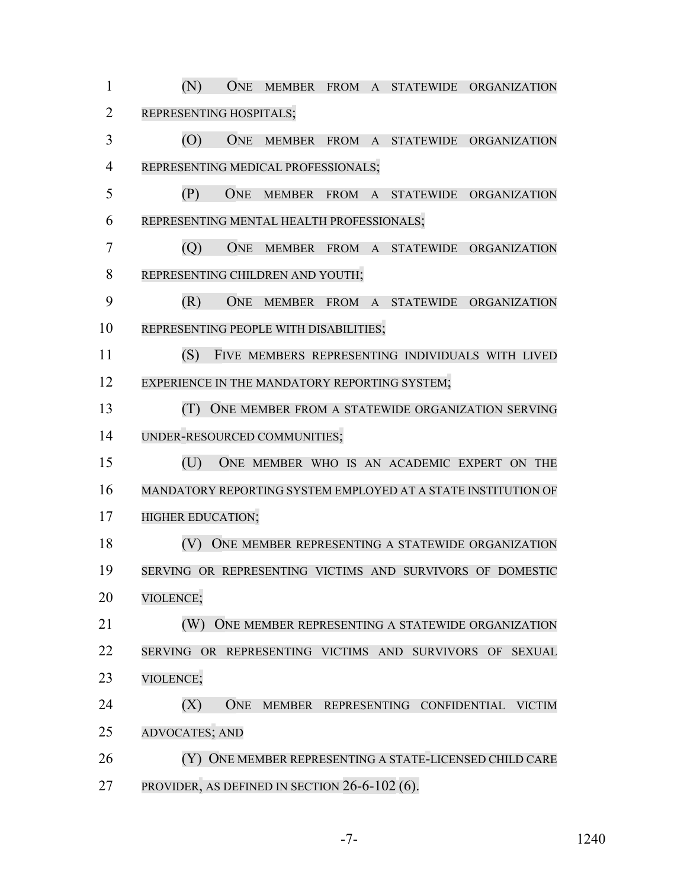(N) ONE MEMBER FROM A STATEWIDE ORGANIZATION REPRESENTING HOSPITALS; (O) ONE MEMBER FROM A STATEWIDE ORGANIZATION REPRESENTING MEDICAL PROFESSIONALS; (P) ONE MEMBER FROM A STATEWIDE ORGANIZATION REPRESENTING MENTAL HEALTH PROFESSIONALS; (Q) ONE MEMBER FROM A STATEWIDE ORGANIZATION REPRESENTING CHILDREN AND YOUTH; (R) ONE MEMBER FROM A STATEWIDE ORGANIZATION REPRESENTING PEOPLE WITH DISABILITIES; (S) FIVE MEMBERS REPRESENTING INDIVIDUALS WITH LIVED 12 EXPERIENCE IN THE MANDATORY REPORTING SYSTEM; **(T)** ONE MEMBER FROM A STATEWIDE ORGANIZATION SERVING UNDER-RESOURCED COMMUNITIES; (U) ONE MEMBER WHO IS AN ACADEMIC EXPERT ON THE MANDATORY REPORTING SYSTEM EMPLOYED AT A STATE INSTITUTION OF **HIGHER EDUCATION;** 18 (V) ONE MEMBER REPRESENTING A STATEWIDE ORGANIZATION SERVING OR REPRESENTING VICTIMS AND SURVIVORS OF DOMESTIC VIOLENCE; **(W)** ONE MEMBER REPRESENTING A STATEWIDE ORGANIZATION SERVING OR REPRESENTING VICTIMS AND SURVIVORS OF SEXUAL VIOLENCE; (X) ONE MEMBER REPRESENTING CONFIDENTIAL VICTIM ADVOCATES; AND (Y) ONE MEMBER REPRESENTING A STATE-LICENSED CHILD CARE PROVIDER, AS DEFINED IN SECTION 26-6-102 (6).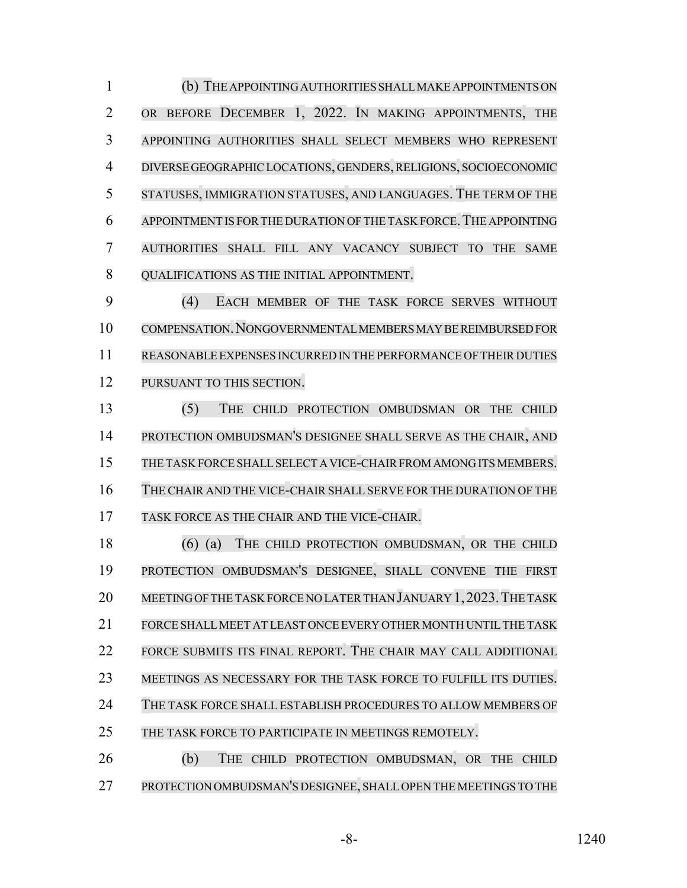(b) THE APPOINTINGAUTHORITIES SHALLMAKE APPOINTMENTS ON OR BEFORE DECEMBER 1, 2022. IN MAKING APPOINTMENTS, THE APPOINTING AUTHORITIES SHALL SELECT MEMBERS WHO REPRESENT DIVERSE GEOGRAPHIC LOCATIONS, GENDERS,RELIGIONS, SOCIOECONOMIC STATUSES, IMMIGRATION STATUSES, AND LANGUAGES. THE TERM OF THE APPOINTMENT IS FOR THE DURATION OF THE TASK FORCE.THE APPOINTING AUTHORITIES SHALL FILL ANY VACANCY SUBJECT TO THE SAME **QUALIFICATIONS AS THE INITIAL APPOINTMENT.** 

 (4) EACH MEMBER OF THE TASK FORCE SERVES WITHOUT COMPENSATION.NONGOVERNMENTAL MEMBERS MAY BE REIMBURSED FOR REASONABLE EXPENSES INCURRED IN THE PERFORMANCE OF THEIR DUTIES PURSUANT TO THIS SECTION.

 (5) THE CHILD PROTECTION OMBUDSMAN OR THE CHILD PROTECTION OMBUDSMAN'S DESIGNEE SHALL SERVE AS THE CHAIR, AND 15 THE TASK FORCE SHALL SELECT A VICE-CHAIR FROM AMONG ITS MEMBERS. THE CHAIR AND THE VICE-CHAIR SHALL SERVE FOR THE DURATION OF THE TASK FORCE AS THE CHAIR AND THE VICE-CHAIR.

 (6) (a) THE CHILD PROTECTION OMBUDSMAN, OR THE CHILD PROTECTION OMBUDSMAN'S DESIGNEE, SHALL CONVENE THE FIRST 20 MEETING OF THE TASK FORCE NO LATER THAN JANUARY 1, 2023. THE TASK FORCE SHALLMEET AT LEAST ONCE EVERY OTHERMONTH UNTILTHE TASK FORCE SUBMITS ITS FINAL REPORT. THE CHAIR MAY CALL ADDITIONAL MEETINGS AS NECESSARY FOR THE TASK FORCE TO FULFILL ITS DUTIES. THE TASK FORCE SHALL ESTABLISH PROCEDURES TO ALLOW MEMBERS OF 25 THE TASK FORCE TO PARTICIPATE IN MEETINGS REMOTELY.

 (b) THE CHILD PROTECTION OMBUDSMAN, OR THE CHILD PROTECTION OMBUDSMAN'S DESIGNEE, SHALLOPEN THE MEETINGS TO THE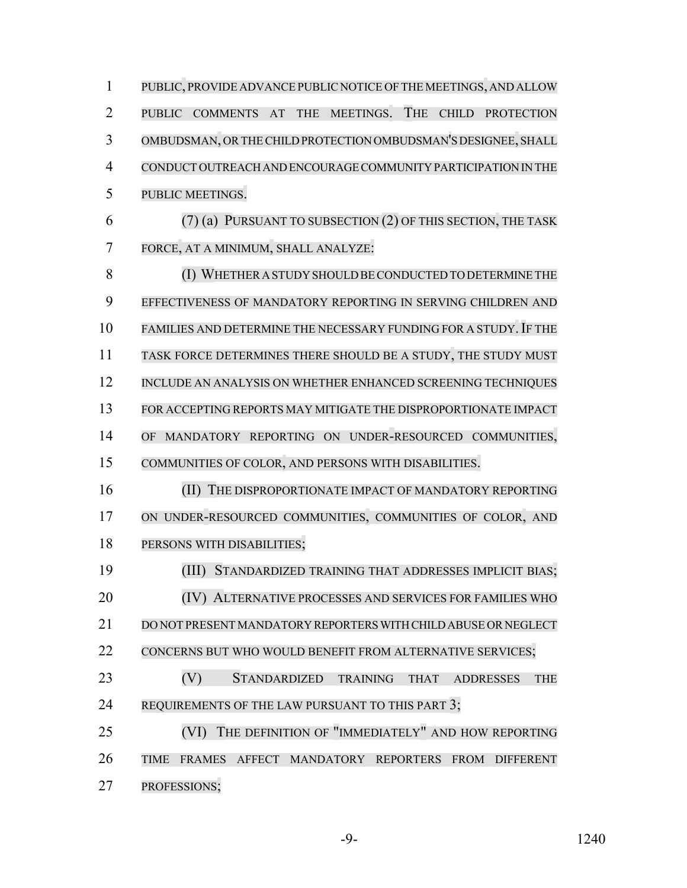PUBLIC, PROVIDE ADVANCE PUBLIC NOTICE OF THE MEETINGS, AND ALLOW PUBLIC COMMENTS AT THE MEETINGS. THE CHILD PROTECTION OMBUDSMAN, ORTHE CHILD PROTECTION OMBUDSMAN'S DESIGNEE, SHALL CONDUCT OUTREACH AND ENCOURAGE COMMUNITY PARTICIPATION IN THE PUBLIC MEETINGS. (7) (a) PURSUANT TO SUBSECTION (2) OF THIS SECTION, THE TASK FORCE, AT A MINIMUM, SHALL ANALYZE: 8 (I) WHETHER A STUDY SHOULD BE CONDUCTED TO DETERMINE THE EFFECTIVENESS OF MANDATORY REPORTING IN SERVING CHILDREN AND 10 FAMILIES AND DETERMINE THE NECESSARY FUNDING FOR A STUDY. IF THE TASK FORCE DETERMINES THERE SHOULD BE A STUDY, THE STUDY MUST 12 INCLUDE AN ANALYSIS ON WHETHER ENHANCED SCREENING TECHNIQUES FOR ACCEPTING REPORTS MAY MITIGATE THE DISPROPORTIONATE IMPACT OF MANDATORY REPORTING ON UNDER-RESOURCED COMMUNITIES, COMMUNITIES OF COLOR, AND PERSONS WITH DISABILITIES. 16 (II) THE DISPROPORTIONATE IMPACT OF MANDATORY REPORTING ON UNDER-RESOURCED COMMUNITIES, COMMUNITIES OF COLOR, AND PERSONS WITH DISABILITIES; (III) STANDARDIZED TRAINING THAT ADDRESSES IMPLICIT BIAS; (IV) ALTERNATIVE PROCESSES AND SERVICES FOR FAMILIES WHO DO NOT PRESENT MANDATORY REPORTERS WITH CHILD ABUSE OR NEGLECT 22 CONCERNS BUT WHO WOULD BENEFIT FROM ALTERNATIVE SERVICES; (V) STANDARDIZED TRAINING THAT ADDRESSES THE 24 REQUIREMENTS OF THE LAW PURSUANT TO THIS PART 3; (VI) THE DEFINITION OF "IMMEDIATELY" AND HOW REPORTING TIME FRAMES AFFECT MANDATORY REPORTERS FROM DIFFERENT PROFESSIONS;

-9- 1240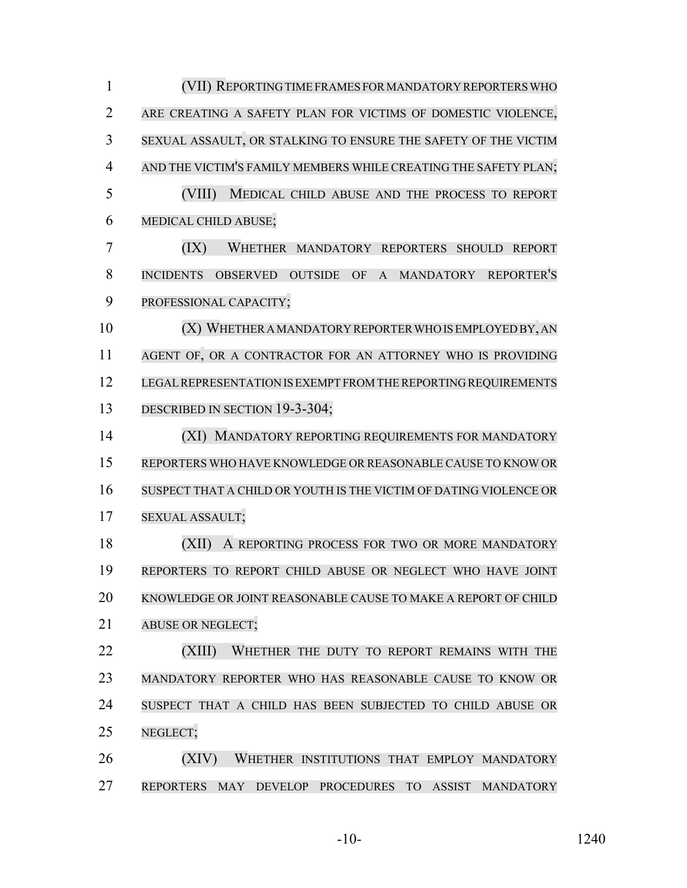| $\mathbf{1}$   | (VII) REPORTING TIME FRAMES FOR MANDATORY REPORTERS WHO                                                              |
|----------------|----------------------------------------------------------------------------------------------------------------------|
| $\overline{2}$ | ARE CREATING A SAFETY PLAN FOR VICTIMS OF DOMESTIC VIOLENCE,                                                         |
| 3              | SEXUAL ASSAULT, OR STALKING TO ENSURE THE SAFETY OF THE VICTIM                                                       |
| $\overline{4}$ | AND THE VICTIM'S FAMILY MEMBERS WHILE CREATING THE SAFETY PLAN;                                                      |
| 5              | (VIII)<br>MEDICAL CHILD ABUSE AND THE PROCESS TO REPORT                                                              |
| 6              | MEDICAL CHILD ABUSE;                                                                                                 |
| 7              | (IX)<br>WHETHER MANDATORY REPORTERS SHOULD<br><b>REPORT</b>                                                          |
| 8              | <b>REPORTER'S</b><br><b>INCIDENTS</b><br><b>OUTSIDE</b><br>OF<br>$\mathbf{A}$<br><b>MANDATORY</b><br><b>OBSERVED</b> |
| 9              | PROFESSIONAL CAPACITY;                                                                                               |
| 10             | (X) WHETHER A MANDATORY REPORTER WHO IS EMPLOYED BY, AN                                                              |
| 11             | AGENT OF, OR A CONTRACTOR FOR AN ATTORNEY WHO IS PROVIDING                                                           |
| 12             | LEGAL REPRESENTATION IS EXEMPT FROM THE REPORTING REQUIREMENTS                                                       |
| 13             | DESCRIBED IN SECTION 19-3-304;                                                                                       |
| 14             | (XI) MANDATORY REPORTING REQUIREMENTS FOR MANDATORY                                                                  |
| 15             | REPORTERS WHO HAVE KNOWLEDGE OR REASONABLE CAUSE TO KNOW OR                                                          |
| 16             | SUSPECT THAT A CHILD OR YOUTH IS THE VICTIM OF DATING VIOLENCE OR                                                    |
| 17             | SEXUAL ASSAULT;                                                                                                      |
| 18             | (XII)<br>A REPORTING PROCESS FOR TWO OR MORE MANDATORY                                                               |
| 19             | REPORTERS TO REPORT CHILD ABUSE OR NEGLECT WHO HAVE JOINT                                                            |
| 20             | KNOWLEDGE OR JOINT REASONABLE CAUSE TO MAKE A REPORT OF CHILD                                                        |
| 21             | <b>ABUSE OR NEGLECT;</b>                                                                                             |
| 22             | (XIII)<br>WHETHER THE DUTY TO REPORT REMAINS WITH THE                                                                |
| 23             | MANDATORY REPORTER WHO HAS REASONABLE CAUSE TO KNOW OR                                                               |
| 24             | SUSPECT THAT A CHILD HAS BEEN SUBJECTED TO CHILD ABUSE OR                                                            |
| 25             | NEGLECT;                                                                                                             |
| 26             | (XIV)<br>WHETHER INSTITUTIONS THAT EMPLOY MANDATORY                                                                  |
| 27             | REPORTERS MAY DEVELOP PROCEDURES TO<br>ASSIST<br><b>MANDATORY</b>                                                    |

-10- 1240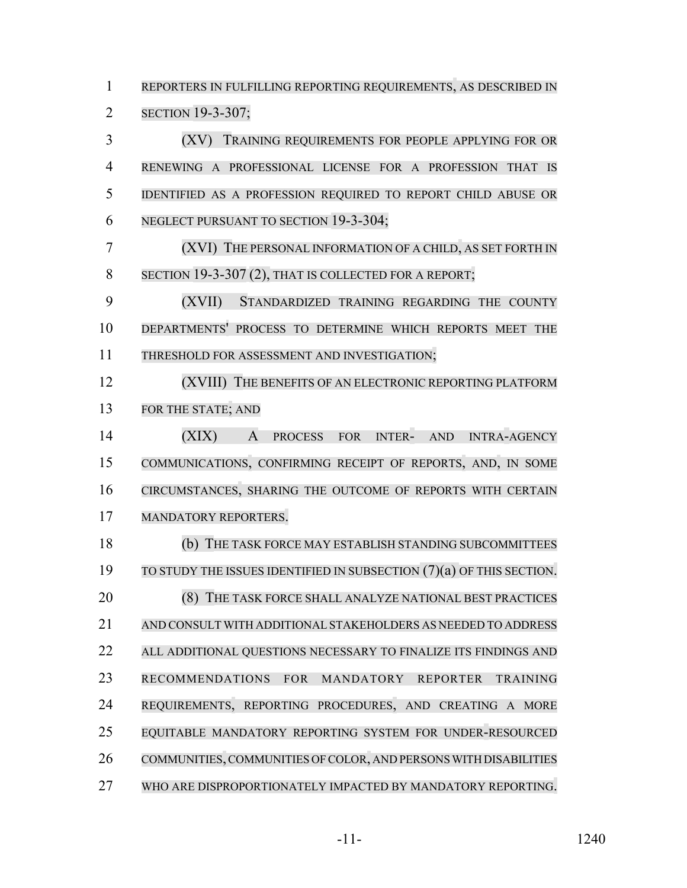REPORTERS IN FULFILLING REPORTING REQUIREMENTS, AS DESCRIBED IN SECTION 19-3-307; (XV) TRAINING REQUIREMENTS FOR PEOPLE APPLYING FOR OR RENEWING A PROFESSIONAL LICENSE FOR A PROFESSION THAT IS IDENTIFIED AS A PROFESSION REQUIRED TO REPORT CHILD ABUSE OR NEGLECT PURSUANT TO SECTION 19-3-304; (XVI) THE PERSONAL INFORMATION OF A CHILD, AS SET FORTH IN 8 SECTION 19-3-307 (2), THAT IS COLLECTED FOR A REPORT; (XVII) STANDARDIZED TRAINING REGARDING THE COUNTY DEPARTMENTS' PROCESS TO DETERMINE WHICH REPORTS MEET THE THRESHOLD FOR ASSESSMENT AND INVESTIGATION; 12 (XVIII) THE BENEFITS OF AN ELECTRONIC REPORTING PLATFORM FOR THE STATE; AND (XIX) A PROCESS FOR INTER- AND INTRA-AGENCY COMMUNICATIONS, CONFIRMING RECEIPT OF REPORTS, AND, IN SOME CIRCUMSTANCES, SHARING THE OUTCOME OF REPORTS WITH CERTAIN MANDATORY REPORTERS. (b) THE TASK FORCE MAY ESTABLISH STANDING SUBCOMMITTEES TO STUDY THE ISSUES IDENTIFIED IN SUBSECTION (7)(a) OF THIS SECTION. **(8) THE TASK FORCE SHALL ANALYZE NATIONAL BEST PRACTICES**  AND CONSULT WITH ADDITIONAL STAKEHOLDERS AS NEEDED TO ADDRESS ALL ADDITIONAL QUESTIONS NECESSARY TO FINALIZE ITS FINDINGS AND RECOMMENDATIONS FOR MANDATORY REPORTER TRAINING REQUIREMENTS, REPORTING PROCEDURES, AND CREATING A MORE EQUITABLE MANDATORY REPORTING SYSTEM FOR UNDER-RESOURCED 26 COMMUNITIES, COMMUNITIES OF COLOR, AND PERSONS WITH DISABILITIES WHO ARE DISPROPORTIONATELY IMPACTED BY MANDATORY REPORTING.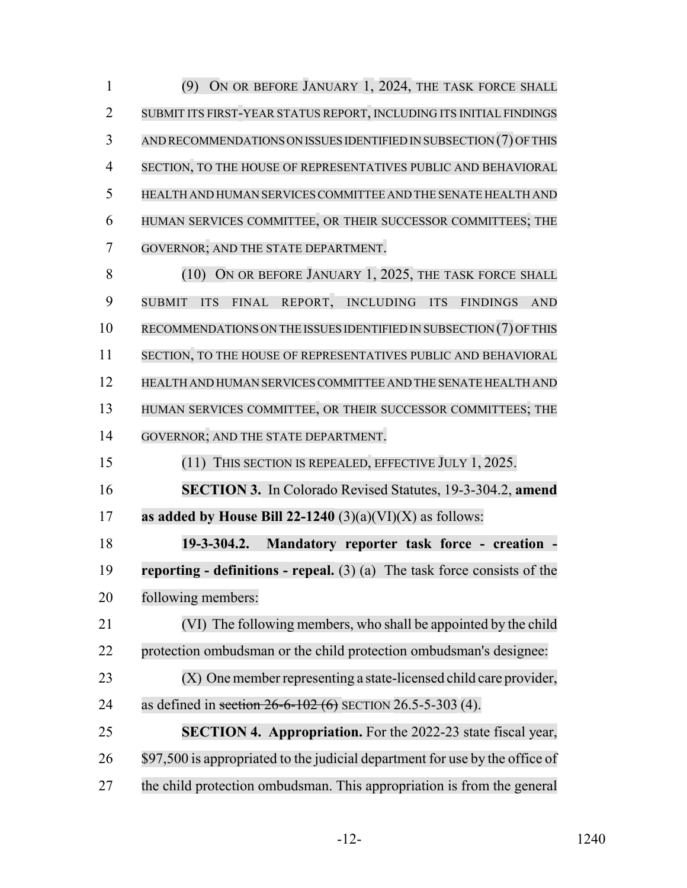(9) ON OR BEFORE JANUARY 1, 2024, THE TASK FORCE SHALL SUBMIT ITS FIRST-YEAR STATUS REPORT, INCLUDING ITS INITIAL FINDINGS AND RECOMMENDATIONS ON ISSUES IDENTIFIED IN SUBSECTION (7) OFTHIS SECTION, TO THE HOUSE OF REPRESENTATIVES PUBLIC AND BEHAVIORAL HEALTH AND HUMAN SERVICES COMMITTEE AND THE SENATE HEALTH AND HUMAN SERVICES COMMITTEE, OR THEIR SUCCESSOR COMMITTEES; THE GOVERNOR; AND THE STATE DEPARTMENT. 8 (10) ON OR BEFORE JANUARY 1, 2025, THE TASK FORCE SHALL SUBMIT ITS FINAL REPORT, INCLUDING ITS FINDINGS AND RECOMMENDATIONS ON THE ISSUES IDENTIFIED IN SUBSECTION (7) OFTHIS SECTION, TO THE HOUSE OF REPRESENTATIVES PUBLIC AND BEHAVIORAL HEALTH AND HUMAN SERVICES COMMITTEE AND THE SENATE HEALTH AND HUMAN SERVICES COMMITTEE, OR THEIR SUCCESSOR COMMITTEES; THE GOVERNOR; AND THE STATE DEPARTMENT. (11) THIS SECTION IS REPEALED, EFFECTIVE JULY 1, 2025.

**SECTION 3.** In Colorado Revised Statutes, 19-3-304.2, **amend**

**as added by House Bill 22-1240** (3)(a)(VI)(X) as follows:

 **19-3-304.2. Mandatory reporter task force - creation - reporting - definitions - repeal.** (3) (a) The task force consists of the following members:

 (VI) The following members, who shall be appointed by the child protection ombudsman or the child protection ombudsman's designee: (X) One member representing a state-licensed child care provider,

24 as defined in section 26-6-102 (6) SECTION 26.5-5-303 (4).

 **SECTION 4. Appropriation.** For the 2022-23 state fiscal year, 26 \$97,500 is appropriated to the judicial department for use by the office of the child protection ombudsman. This appropriation is from the general